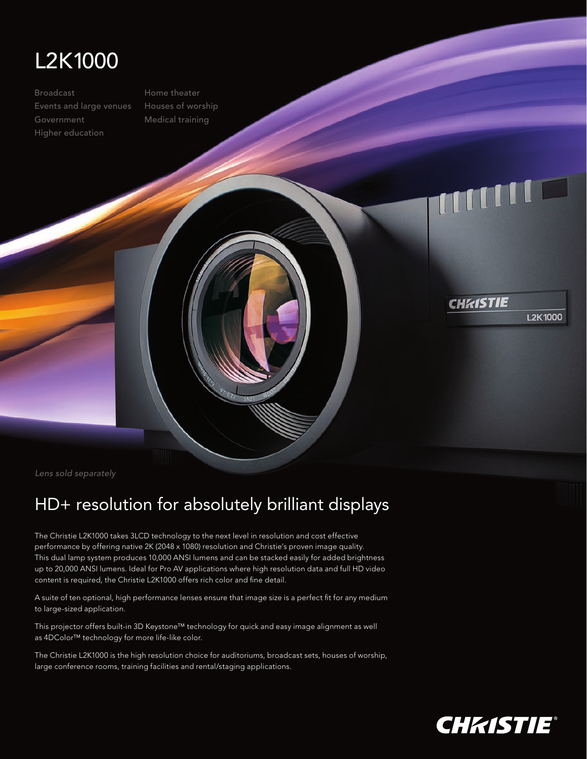

Broadcast Events and large venues Government Higher education

Home theater Houses of worship Medical training

## mull

**CHRISTIE** 

*Lens sold separately*

## HD+ resolution for absolutely brilliant displays

The Christie L2K1000 takes 3LCD technology to the next level in resolution and cost effective performance by offering native 2K (2048 x 1080) resolution and Christie's proven image quality. This dual lamp system produces 10,000 ANSI lumens and can be stacked easily for added brightness up to 20,000 ANSI lumens. Ideal for Pro AV applications where high resolution data and full HD video content is required, the Christie L2K1000 offers rich color and fine detail.

A suite of ten optional, high performance lenses ensure that image size is a perfect fit for any medium to large-sized application.

This projector offers built-in 3D Keystone™ technology for quick and easy image alignment as well as 4DColor™ technology for more life-like color.

The Christie L2K1000 is the high resolution choice for auditoriums, broadcast sets, houses of worship, large conference rooms, training facilities and rental/staging applications.

**L2K1000**